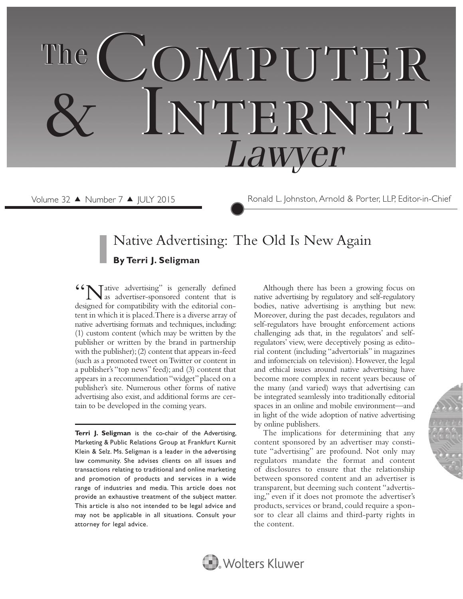# COMPUTER Internet & Internet  *Lawyer* The

Volume 32 ▲ Number 7 ▲ JULY 2015 Ronald L. Johnston, Arnold & Porter, LLP, Editor-in-Chief

# Native Advertising: The Old Is New Again **By Terri J. Seligman**

Tative advertising" is generally defined as advertiser-sponsored content that is designed for compatibility with the editorial content in which it is placed. There is a diverse array of native advertising formats and techniques, including: (1) custom content (which may be written by the publisher or written by the brand in partnership with the publisher); (2) content that appears in-feed (such as a promoted tweet on Twitter or content in a publisher's "top news" feed); and (3) content that appears in a recommendation "widget" placed on a publisher's site. Numerous other forms of native advertising also exist, and additional forms are certain to be developed in the coming years.

**Terri J. Seligman** is the co-chair of the Advertising, Marketing & Public Relations Group at Frankfurt Kurnit Klein & Selz. Ms. Seligman is a leader in the advertising law community. She advises clients on all issues and transactions relating to traditional and online marketing and promotion of products and services in a wide range of industries and media. This article does not provide an exhaustive treatment of the subject matter. This article is also not intended to be legal advice and may not be applicable in all situations. Consult your attorney for legal advice.

Although there has been a growing focus on native advertising by regulatory and self-regulatory bodies, native advertising is anything but new. Moreover, during the past decades, regulators and self-regulators have brought enforcement actions challenging ads that, in the regulators' and selfregulators' view, were deceptively posing as editorial content (including "advertorials" in magazines and infomercials on television). However, the legal and ethical issues around native advertising have become more complex in recent years because of the many (and varied) ways that advertising can be integrated seamlessly into traditionally editorial spaces in an online and mobile environment—and in light of the wide adoption of native advertising by online publishers.

The implications for determining that any content sponsored by an advertiser may constitute "advertising" are profound. Not only may regulators mandate the format and content of disclosures to ensure that the relationship between sponsored content and an advertiser is transparent, but deeming such content "advertising," even if it does not promote the advertiser's products, services or brand, could require a sponsor to clear all claims and third-party rights in the content.

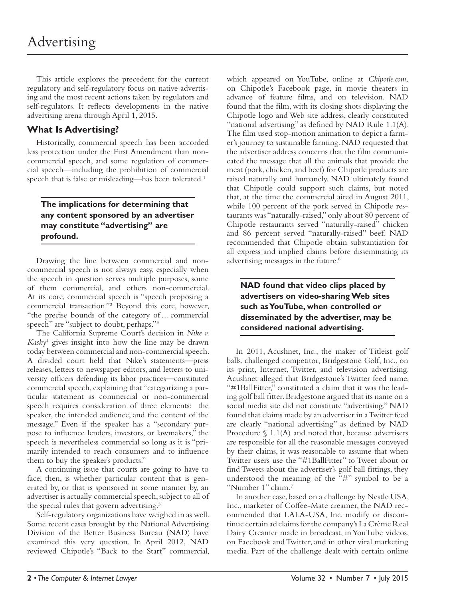This article explores the precedent for the current regulatory and self-regulatory focus on native advertising and the most recent actions taken by regulators and self-regulators. It reflects developments in the native advertising arena through April 1, 2015.

# **What Is Advertising?**

Historically, commercial speech has been accorded less protection under the First Amendment than noncommercial speech, and some regulation of commercial speech—including the prohibition of commercial speech that is false or misleading—has been tolerated.<sup>1</sup>

## **The implications for determining that any content sponsored by an advertiser may constitute "advertising" are profound.**

Drawing the line between commercial and noncommercial speech is not always easy, especially when the speech in question serves multiple purposes, some of them commercial, and others non-commercial. At its core, commercial speech is "speech proposing a commercial transaction."2 Beyond this core, however, "the precise bounds of the category of … commercial speech" are "subject to doubt, perhaps."3

The California Supreme Court's decision in *Nike v. Kasky*<sup>4</sup> gives insight into how the line may be drawn today between commercial and non-commercial speech. A divided court held that Nike's statements—press releases, letters to newspaper editors, and letters to university officers defending its labor practices—constituted commercial speech, explaining that "categorizing a particular statement as commercial or non-commercial speech requires consideration of three elements: the speaker, the intended audience, and the content of the message." Even if the speaker has a "secondary purpose to influence lenders, investors, or lawmakers," the speech is nevertheless commercial so long as it is "primarily intended to reach consumers and to influence them to buy the speaker's products."

A continuing issue that courts are going to have to face, then, is whether particular content that is generated by, or that is sponsored in some manner by, an advertiser is actually commercial speech, subject to all of the special rules that govern advertising.<sup>5</sup>

Self-regulatory organizations have weighed in as well. Some recent cases brought by the National Advertising Division of the Better Business Bureau (NAD) have examined this very question. In April 2012, NAD reviewed Chipotle's "Back to the Start" commercial, which appeared on YouTube, online at *Chipotle.com*, on Chipotle's Facebook page, in movie theaters in advance of feature films, and on television. NAD found that the film, with its closing shots displaying the Chipotle logo and Web site address, clearly constituted "national advertising" as defined by NAD Rule 1.1(A). The film used stop-motion animation to depict a farmer's journey to sustainable farming. NAD requested that the advertiser address concerns that the film communicated the message that all the animals that provide the meat (pork, chicken, and beef) for Chipotle products are raised naturally and humanely. NAD ultimately found that Chipotle could support such claims, but noted that, at the time the commercial aired in August 2011, while 100 percent of the pork served in Chipotle restaurants was "naturally-raised," only about 80 percent of Chipotle restaurants served "naturally-raised" chicken and 86 percent served "naturally-raised" beef. NAD recommended that Chipotle obtain substantiation for all express and implied claims before disseminating its advertising messages in the future.<sup>6</sup>

# **NAD found that video clips placed by advertisers on video-sharing Web sites such as YouTube, when controlled or disseminated by the advertiser, may be considered national advertising.**

In 2011, Acushnet, Inc., the maker of Titleist golf balls, challenged competitor, Bridgestone Golf, Inc., on its print, Internet, Twitter, and television advertising. Acushnet alleged that Bridgestone's Twitter feed name, "#1BallFitter," constituted a claim that it was the leading golf ball fitter. Bridgestone argued that its name on a social media site did not constitute "advertising." NAD found that claims made by an advertiser in a Twitter feed are clearly "national advertising" as defined by NAD Procedure  $\S$  1.1(A) and noted that, because advertisers are responsible for all the reasonable messages conveyed by their claims, it was reasonable to assume that when Twitter users use the "#1BallFitter" to Tweet about or find Tweets about the advertiser's golf ball fittings, they understood the meaning of the "#" symbol to be a "Number 1" claim.<sup>7</sup>

In another case, based on a challenge by Nestle USA, Inc., marketer of Coffee-Mate creamer, the NAD recommended that LALA-USA, Inc. modify or discontinue certain ad claims for the company's La Crème Real Dairy Creamer made in broadcast, in YouTube videos, on Facebook and Twitter, and in other viral marketing media. Part of the challenge dealt with certain online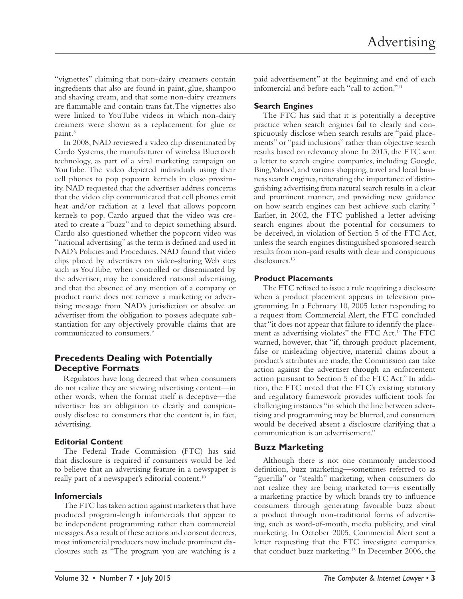"vignettes" claiming that non-dairy creamers contain ingredients that also are found in paint, glue, shampoo and shaving cream, and that some non-dairy creamers are flammable and contain trans fat. The vignettes also were linked to YouTube videos in which non-dairy creamers were shown as a replacement for glue or paint.<sup>8</sup>

In 2008, NAD reviewed a video clip disseminated by Cardo Systems, the manufacturer of wireless Bluetooth technology, as part of a viral marketing campaign on YouTube. The video depicted individuals using their cell phones to pop popcorn kernels in close proximity. NAD requested that the advertiser address concerns that the video clip communicated that cell phones emit heat and/or radiation at a level that allows popcorn kernels to pop. Cardo argued that the video was created to create a "buzz" and to depict something absurd. Cardo also questioned whether the popcorn video was "national advertising" as the term is defined and used in NAD's Policies and Procedures. NAD found that video clips placed by advertisers on video-sharing Web sites such as YouTube, when controlled or disseminated by the advertiser, may be considered national advertising, and that the absence of any mention of a company or product name does not remove a marketing or advertising message from NAD's jurisdiction or absolve an advertiser from the obligation to possess adequate substantiation for any objectively provable claims that are communicated to consumers.9

# **Precedents Dealing with Potentially Deceptive Formats**

Regulators have long decreed that when consumers do not realize they are viewing advertising content—in other words, when the format itself is deceptive—the advertiser has an obligation to clearly and conspicuously disclose to consumers that the content is, in fact, advertising.

#### **Editorial Content**

The Federal Trade Commission (FTC) has said that disclosure is required if consumers would be led to believe that an advertising feature in a newspaper is really part of a newspaper's editorial content.<sup>10</sup>

#### **Infomercials**

The FTC has taken action against marketers that have produced program-length infomercials that appear to be independent programming rather than commercial messages. As a result of these actions and consent decrees, most infomercial producers now include prominent disclosures such as "The program you are watching is a

paid advertisement" at the beginning and end of each infomercial and before each "call to action."11

# **Search Engines**

The FTC has said that it is potentially a deceptive practice when search engines fail to clearly and conspicuously disclose when search results are "paid placements" or "paid inclusions" rather than objective search results based on relevancy alone. In 2013, the FTC sent a letter to search engine companies, including Google, Bing, Yahoo!, and various shopping, travel and local business search engines, reiterating the importance of distinguishing advertising from natural search results in a clear and prominent manner, and providing new guidance on how search engines can best achieve such clarity.12 Earlier, in 2002, the FTC published a letter advising search engines about the potential for consumers to be deceived, in violation of Section 5 of the FTC Act, unless the search engines distinguished sponsored search results from non-paid results with clear and conspicuous disclosures.<sup>13</sup>

#### **Product Placements**

The FTC refused to issue a rule requiring a disclosure when a product placement appears in television programming. In a February 10, 2005 letter responding to a request from Commercial Alert, the FTC concluded that "it does not appear that failure to identify the placement as advertising violates" the FTC Act.14 The FTC warned, however, that "if, through product placement, false or misleading objective, material claims about a product's attributes are made, the Commission can take action against the advertiser through an enforcement action pursuant to Section 5 of the FTC Act." In addition, the FTC noted that the FTC's existing statutory and regulatory framework provides sufficient tools for challenging instances "in which the line between advertising and programming may be blurred, and consumers would be deceived absent a disclosure clarifying that a communication is an advertisement."

# **Buzz Marketing**

Although there is not one commonly understood definition, buzz marketing—sometimes referred to as "guerilla" or "stealth" marketing, when consumers do not realize they are being marketed to—is essentially a marketing practice by which brands try to influence consumers through generating favorable buzz about a product through non-traditional forms of advertising, such as word-of-mouth, media publicity, and viral marketing. In October 2005, Commercial Alert sent a letter requesting that the FTC investigate companies that conduct buzz marketing.15 In December 2006, the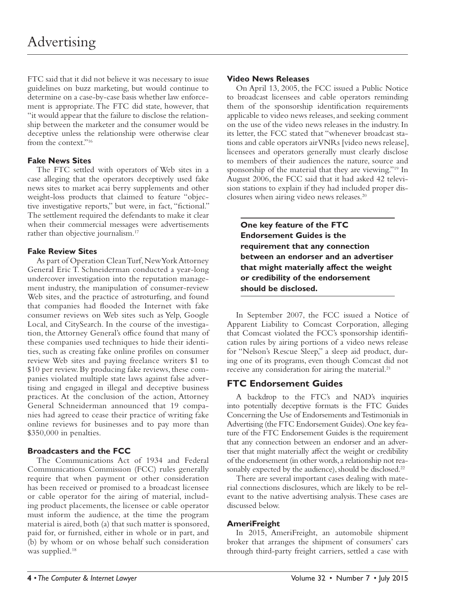FTC said that it did not believe it was necessary to issue guidelines on buzz marketing, but would continue to determine on a case-by-case basis whether law enforcement is appropriate. The FTC did state, however, that "it would appear that the failure to disclose the relationship between the marketer and the consumer would be deceptive unless the relationship were otherwise clear from the context."16

#### **Fake News Sites**

The FTC settled with operators of Web sites in a case alleging that the operators deceptively used fake news sites to market acai berry supplements and other weight-loss products that claimed to feature "objective investigative reports," but were, in fact, "fictional." The settlement required the defendants to make it clear when their commercial messages were advertisements rather than objective journalism.<sup>17</sup>

#### **Fake Review Sites**

As part of Operation Clean Turf, New York Attorney General Eric T. Schneiderman conducted a year-long undercover investigation into the reputation management industry, the manipulation of consumer-review Web sites, and the practice of astroturfing, and found that companies had flooded the Internet with fake consumer reviews on Web sites such as Yelp, Google Local, and CitySearch. In the course of the investigation, the Attorney General's office found that many of these companies used techniques to hide their identities, such as creating fake online profiles on consumer review Web sites and paying freelance writers \$1 to \$10 per review. By producing fake reviews, these companies violated multiple state laws against false advertising and engaged in illegal and deceptive business practices. At the conclusion of the action, Attorney General Schneiderman announced that 19 companies had agreed to cease their practice of writing fake online reviews for businesses and to pay more than \$350,000 in penalties.

#### **Broadcasters and the FCC**

The Communications Act of 1934 and Federal Communications Commission (FCC) rules generally require that when payment or other consideration has been received or promised to a broadcast licensee or cable operator for the airing of material, including product placements, the licensee or cable operator must inform the audience, at the time the program material is aired, both (a) that such matter is sponsored, paid for, or furnished, either in whole or in part, and (b) by whom or on whose behalf such consideration was supplied.<sup>18</sup>

#### **Video News Releases**

On April 13, 2005, the FCC issued a Public Notice to broadcast licensees and cable operators reminding them of the sponsorship identification requirements applicable to video news releases, and seeking comment on the use of the video news releases in the industry. In its letter, the FCC stated that "whenever broadcast stations and cable operators air VNRs [video news release], licensees and operators generally must clearly disclose to members of their audiences the nature, source and sponsorship of the material that they are viewing."19 In August 2006, the FCC said that it had asked 42 television stations to explain if they had included proper disclosures when airing video news releases.20

**One key feature of the FTC Endorsement Guides is the requirement that any connection between an endorser and an advertiser that might materially affect the weight or credibility of the endorsement should be disclosed.**

In September 2007, the FCC issued a Notice of Apparent Liability to Comcast Corporation, alleging that Comcast violated the FCC's sponsorship identification rules by airing portions of a video news release for "Nelson's Rescue Sleep," a sleep aid product, during one of its programs, even though Comcast did not receive any consideration for airing the material.<sup>21</sup>

# **FTC Endorsement Guides**

A backdrop to the FTC's and NAD's inquiries into potentially deceptive formats is the FTC Guides Concerning the Use of Endorsements and Testimonials in Advertising (the FTC Endorsement Guides). One key feature of the FTC Endorsement Guides is the requirement that any connection between an endorser and an advertiser that might materially affect the weight or credibility of the endorsement (in other words, a relationship not reasonably expected by the audience), should be disclosed.<sup>22</sup>

There are several important cases dealing with material connections disclosures, which are likely to be relevant to the native advertising analysis. These cases are discussed below.

#### **AmeriFreight**

In 2015, AmeriFreight, an automobile shipment broker that arranges the shipment of consumers' cars through third-party freight carriers, settled a case with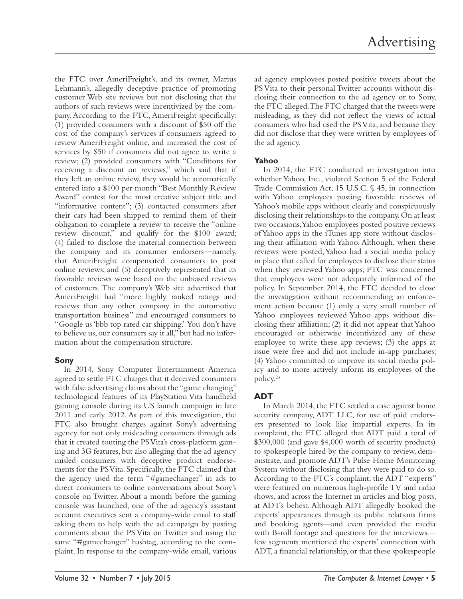the FTC over AmeriFreight's, and its owner, Marius Lehmann's, allegedly deceptive practice of promoting customer Web site reviews but not disclosing that the authors of such reviews were incentivized by the company. According to the FTC, AmeriFreight specifically: (1) provided consumers with a discount of \$50 off the cost of the company's services if consumers agreed to review AmeriFreight online, and increased the cost of services by \$50 if consumers did not agree to write a review; (2) provided consumers with "Conditions for receiving a discount on reviews," which said that if they left an online review, they would be automatically entered into a \$100 per month "Best Monthly Review Award" contest for the most creative subject title and "informative content"; (3) contacted consumers after their cars had been shipped to remind them of their obligation to complete a review to receive the "online review discount," and qualify for the \$100 award; (4) failed to disclose the material connection between the company and its consumer endorsers—namely, that AmeriFreight compensated consumers to post online reviews; and (5) deceptively represented that its favorable reviews were based on the unbiased reviews of customers. The company's Web site advertised that AmeriFreight had "more highly ranked ratings and reviews than any other company in the automotive transportation business" and encouraged consumers to "Google us 'bbb top rated car shipping.' You don't have to believe us, our consumers say it all," but had no information about the compensation structure.

#### **Sony**

In 2014, Sony Computer Entertainment America agreed to settle FTC charges that it deceived consumers with false advertising claims about the "game changing" technological features of its PlayStation Vita handheld gaming console during its US launch campaign in late 2011 and early 2012. As part of this investigation, the FTC also brought charges against Sony's advertising agency for not only misleading consumers through ads that it created touting the PS Vita's cross-platform gaming and 3G features, but also alleging that the ad agency misled consumers with deceptive product endorsements for the PS Vita. Specifically, the FTC claimed that the agency used the term "#gamechanger" in ads to direct consumers to online conversations about Sony's console on Twitter. About a month before the gaming console was launched, one of the ad agency's assistant account executives sent a company-wide email to staff asking them to help with the ad campaign by posting comments about the PS Vita on Twitter and using the same "#gamechanger" hashtag, according to the complaint. In response to the company-wide email, various

ad agency employees posted positive tweets about the PS Vita to their personal Twitter accounts without disclosing their connection to the ad agency or to Sony, the FTC alleged. The FTC charged that the tweets were misleading, as they did not reflect the views of actual consumers who had used the PS Vita, and because they did not disclose that they were written by employees of the ad agency.

#### **Yahoo**

In 2014, the FTC conducted an investigation into whether Yahoo, Inc., violated Section 5 of the Federal Trade Commission Act, 15 U.S.C. § 45, in connection with Yahoo employees posting favorable reviews of Yahoo's mobile apps without clearly and conspicuously disclosing their relationships to the company. On at least two occasions, Yahoo employees posted positive reviews of Yahoo apps in the iTunes app store without disclosing their affiliation with Yahoo. Although, when these reviews were posted, Yahoo had a social media policy in place that called for employees to disclose their status when they reviewed Yahoo apps, FTC was concerned that employees were not adequately informed of the policy. In September 2014, the FTC decided to close the investigation without recommending an enforcement action because (1) only a very small number of Yahoo employees reviewed Yahoo apps without disclosing their affiliation; (2) it did not appear that Yahoo encouraged or otherwise incentivized any of these employee to write these app reviews; (3) the apps at issue were free and did not include in-app purchases; (4) Yahoo committed to improve its social media policy and to more actively inform its employees of the policy.23

# **ADT**

In March 2014, the FTC settled a case against home security company, ADT LLC, for use of paid endorsers presented to look like impartial experts. In its complaint, the FTC alleged that ADT paid a total of \$300,000 (and gave \$4,000 worth of security products) to spokespeople hired by the company to review, demonstrate, and promote ADT's Pulse Home Monitoring System without disclosing that they were paid to do so. According to the FTC's complaint, the ADT "experts" were featured on numerous high-profile TV and radio shows, and across the Internet in articles and blog posts, at ADT's behest. Although ADT allegedly booked the experts' appearances through its public relations firms and booking agents—and even provided the media with B-roll footage and questions for the interviews few segments mentioned the experts' connection with ADT, a financial relationship, or that these spokespeople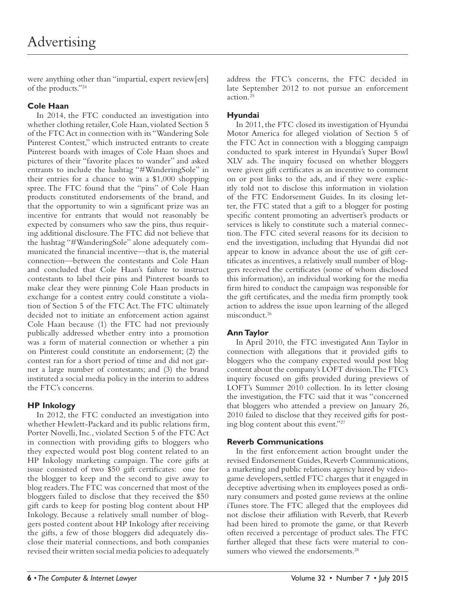were anything other than "impartial, expert review[ers] of the products."24

# **Cole Haan**

In 2014, the FTC conducted an investigation into whether clothing retailer, Cole Haan, violated Section 5 of the FTC Act in connection with its "Wandering Sole Pinterest Contest," which instructed entrants to create Pinterest boards with images of Cole Haan shoes and pictures of their "favorite places to wander" and asked entrants to include the hashtag "#WanderingSole" in their entries for a chance to win a \$1,000 shopping spree. The FTC found that the "pins" of Cole Haan products constituted endorsements of the brand, and that the opportunity to win a significant prize was an incentive for entrants that would not reasonably be expected by consumers who saw the pins, thus requiring additional disclosure. The FTC did not believe that the hashtag "#WanderingSole" alone adequately communicated the financial incentive—that is, the material connection—between the contestants and Cole Haan and concluded that Cole Haan's failure to instruct contestants to label their pins and Pinterest boards to make clear they were pinning Cole Haan products in exchange for a contest entry could constitute a violation of Section 5 of the FTC Act. The FTC ultimately decided not to initiate an enforcement action against Cole Haan because (1) the FTC had not previously publically addressed whether entry into a promotion was a form of material connection or whether a pin on Pinterest could constitute an endorsement; (2) the contest ran for a short period of time and did not garner a large number of contestants; and (3) the brand instituted a social media policy in the interim to address the FTC's concerns.

# **HP Inkology**

In 2012, the FTC conducted an investigation into whether Hewlett-Packard and its public relations firm, Porter Novelli, Inc., violated Section 5 of the FTC Act in connection with providing gifts to bloggers who they expected would post blog content related to an HP Inkology marketing campaign. The core gifts at issue consisted of two \$50 gift certificates: one for the blogger to keep and the second to give away to blog readers. The FTC was concerned that most of the bloggers failed to disclose that they received the \$50 gift cards to keep for posting blog content about HP Inkology. Because a relatively small number of bloggers posted content about HP Inkology after receiving the gifts, a few of those bloggers did adequately disclose their material connections, and both companies revised their written social media policies to adequately address the FTC's concerns, the FTC decided in late September 2012 to not pursue an enforcement action.25

#### **Hyundai**

In 2011, the FTC closed its investigation of Hyundai Motor America for alleged violation of Section 5 of the FTC Act in connection with a blogging campaign conducted to spark interest in Hyundai's Super Bowl XLV ads. The inquiry focused on whether bloggers were given gift certificates as an incentive to comment on or post links to the ads, and if they were explicitly told not to disclose this information in violation of the FTC Endorsement Guides. In its closing letter, the FTC stated that a gift to a blogger for posting specific content promoting an advertiser's products or services is likely to constitute such a material connection. The FTC cited several reasons for its decision to end the investigation, including that Hyundai did not appear to know in advance about the use of gift certificates as incentives, a relatively small number of bloggers received the certificates (some of whom disclosed this information), an individual working for the media firm hired to conduct the campaign was responsible for the gift certificates, and the media firm promptly took action to address the issue upon learning of the alleged misconduct.<sup>26</sup>

# **Ann Taylor**

In April 2010, the FTC investigated Ann Taylor in connection with allegations that it provided gifts to bloggers who the company expected would post blog content about the company's LOFT division. The FTC's inquiry focused on gifts provided during previews of LOFT's Summer 2010 collection. In its letter closing the investigation, the FTC said that it was "concerned that bloggers who attended a preview on January 26, 2010 failed to disclose that they received gifts for posting blog content about this event."27

#### **Reverb Communications**

In the first enforcement action brought under the revised Endorsement Guides, Reverb Communications, a marketing and public relations agency hired by videogame developers, settled FTC charges that it engaged in deceptive advertising when its employees posed as ordinary consumers and posted game reviews at the online iTunes store. The FTC alleged that the employees did not disclose their affiliation with Reverb, that Reverb had been hired to promote the game, or that Reverb often received a percentage of product sales. The FTC further alleged that these facts were material to consumers who viewed the endorsements.<sup>28</sup>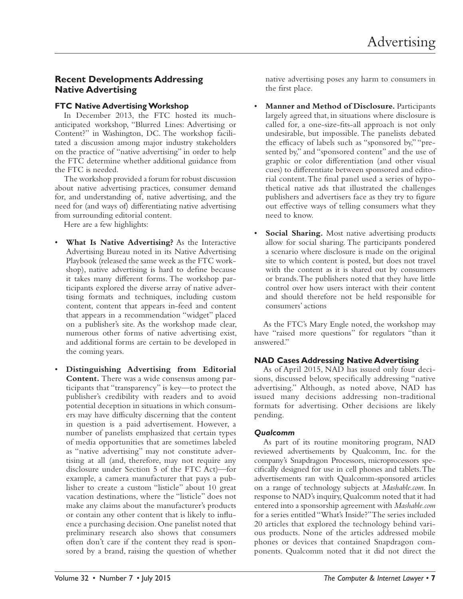# **Recent Developments Addressing Native Advertising**

#### **FTC Native Advertising Workshop**

In December 2013, the FTC hosted its muchanticipated workshop, "Blurred Lines: Advertising or Content?" in Washington, DC. The workshop facilitated a discussion among major industry stakeholders on the practice of "native advertising" in order to help the FTC determine whether additional guidance from the FTC is needed.

The workshop provided a forum for robust discussion about native advertising practices, consumer demand for, and understanding of, native advertising, and the need for (and ways of) differentiating native advertising from surrounding editorial content.

Here are a few highlights:

- **What Is Native Advertising?** As the Interactive Advertising Bureau noted in its Native Advertising Playbook (released the same week as the FTC workshop), native advertising is hard to define because it takes many different forms. The workshop participants explored the diverse array of native advertising formats and techniques, including custom content, content that appears in-feed and content that appears in a recommendation "widget" placed on a publisher's site. As the workshop made clear, numerous other forms of native advertising exist, and additional forms are certain to be developed in the coming years.
- **Distinguishing Advertising from Editorial Content.** There was a wide consensus among participants that "transparency" is key—to protect the publisher's credibility with readers and to avoid potential deception in situations in which consumers may have difficulty discerning that the content in question is a paid advertisement. However, a number of panelists emphasized that certain types of media opportunities that are sometimes labeled as "native advertising" may not constitute advertising at all (and, therefore, may not require any disclosure under Section 5 of the FTC Act)—for example, a camera manufacturer that pays a publisher to create a custom "listicle" about 10 great vacation destinations, where the "listicle" does not make any claims about the manufacturer's products or contain any other content that is likely to influence a purchasing decision. One panelist noted that preliminary research also shows that consumers often don't care if the content they read is sponsored by a brand, raising the question of whether

native advertising poses any harm to consumers in the first place.

- **Manner and Method of Disclosure.** Participants largely agreed that, in situations where disclosure is called for, a one-size-fits-all approach is not only undesirable, but impossible. The panelists debated the efficacy of labels such as "sponsored by," "presented by," and "sponsored content" and the use of graphic or color differentiation (and other visual cues) to differentiate between sponsored and editorial content. The final panel used a series of hypothetical native ads that illustrated the challenges publishers and advertisers face as they try to figure out effective ways of telling consumers what they need to know.
- **Social Sharing.** Most native advertising products allow for social sharing. The participants pondered a scenario where disclosure is made on the original site to which content is posted, but does not travel with the content as it is shared out by consumers or brands. The publishers noted that they have little control over how users interact with their content and should therefore not be held responsible for consumers' actions

As the FTC's Mary Engle noted, the workshop may have "raised more questions" for regulators "than it answered."

#### **NAD Cases Addressing Native Advertising**

As of April 2015, NAD has issued only four decisions, discussed below, specifically addressing "native advertising." Although, as noted above, NAD has issued many decisions addressing non-traditional formats for advertising. Other decisions are likely pending.

#### *Qualcomm*

As part of its routine monitoring program, NAD reviewed advertisements by Qualcomm, Inc. for the company's Snapdragon Processors, microprocessors specifically designed for use in cell phones and tablets. The advertisements ran with Qualcomm-sponsored articles on a range of technology subjects at *Mashable.com*. In response to NAD's inquiry, Qualcomm noted that it had entered into a sponsorship agreement with *Mashable.com* for a series entitled "What's Inside?" The series included 20 articles that explored the technology behind various products. None of the articles addressed mobile phones or devices that contained Snapdragon components. Qualcomm noted that it did not direct the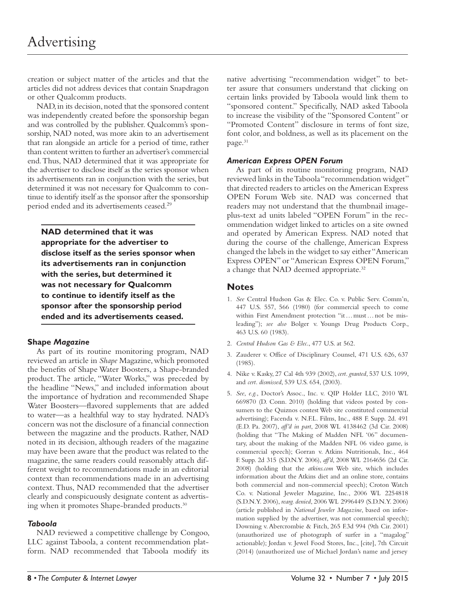creation or subject matter of the articles and that the articles did not address devices that contain Snapdragon or other Qualcomm products.

NAD, in its decision, noted that the sponsored content was independently created before the sponsorship began and was controlled by the publisher. Qualcomm's sponsorship, NAD noted, was more akin to an advertisement that ran alongside an article for a period of time, rather than content written to further an advertiser's commercial end. Thus, NAD determined that it was appropriate for the advertiser to disclose itself as the series sponsor when its advertisements ran in conjunction with the series, but determined it was not necessary for Qualcomm to continue to identify itself as the sponsor after the sponsorship period ended and its advertisements ceased.29

**NAD determined that it was appropriate for the advertiser to disclose itself as the series sponsor when its advertisements ran in conjunction with the series, but determined it was not necessary for Qualcomm to continue to identify itself as the sponsor after the sponsorship period ended and its advertisements ceased.**

#### **Shape** *Magazine*

As part of its routine monitoring program, NAD reviewed an article in *Shape* Magazine, which promoted the benefits of Shape Water Boosters, a Shape-branded product. The article, "Water Works," was preceded by the headline "News," and included information about the importance of hydration and recommended Shape Water Boosters-flavored supplements that are added to water—as a healthful way to stay hydrated. NAD's concern was not the disclosure of a financial connection between the magazine and the products. Rather, NAD noted in its decision, although readers of the magazine may have been aware that the product was related to the magazine, the same readers could reasonably attach different weight to recommendations made in an editorial context than recommendations made in an advertising context. Thus, NAD recommended that the advertiser clearly and conspicuously designate content as advertising when it promotes Shape-branded products.<sup>30</sup>

#### *Taboola*

NAD reviewed a competitive challenge by Congoo, LLC against Taboola, a content recommendation platform. NAD recommended that Taboola modify its

native advertising "recommendation widget" to better assure that consumers understand that clicking on certain links provided by Taboola would link them to "sponsored content." Specifically, NAD asked Taboola to increase the visibility of the "Sponsored Content" or "Promoted Content" disclosure in terms of font size, font color, and boldness, as well as its placement on the page.<sup>31</sup>

#### *American Express OPEN Forum*

As part of its routine monitoring program, NAD reviewed links in the Taboola "recommendation widget" that directed readers to articles on the American Express OPEN Forum Web site. NAD was concerned that readers may not understand that the thumbnail imageplus-text ad units labeled "OPEN Forum" in the recommendation widget linked to articles on a site owned and operated by American Express. NAD noted that during the course of the challenge, American Express changed the labels in the widget to say either "American Express OPEN" or "American Express OPEN Forum," a change that NAD deemed appropriate.<sup>32</sup>

## **Notes**

- 1. *See* Central Hudson Gas & Elec. Co. v. Public Serv. Comm'n, 447 U.S. 557, 566 (1980) (for commercial speech to come within First Amendment protection "it … must … not be misleading"); *see also* Bolger v. Youngs Drug Products Corp., 463 U.S. 60 (1983).
- 2. *Central Hudson Gas & Elec*., 477 U.S. at 562.
- 3. Zauderer v. Office of Disciplinary Counsel, 471 U.S. 626, 637 (1985).
- 4. Nike v. Kasky, 27 Cal 4th 939 (2002), *cert. granted*, 537 U.S. 1099, and *cert. dismissed*, 539 U.S. 654, (2003).
- 5. *See*, *e.g.*, Doctor's Assoc., Inc. v. QIP Holder LLC, 2010 WL 669870 (D. Conn. 2010) (holding that videos posted by consumers to the Quiznos contest Web site constituted commercial advertising); Facenda v. N.F.L. Films, Inc., 488 F. Supp. 2d. 491 (E.D. Pa. 2007), *aff'd in part*, 2008 WL 4138462 (3d Cir. 2008) (holding that "The Making of Madden NFL '06" documentary, about the making of the Madden NFL 06 video game, is commercial speech); Gorran v. Atkins Nutritionals, Inc., 464 F. Supp. 2d 315 (S.D.N.Y. 2006), *aff'd*, 2008 WL 2164656 (2d Cir. 2008) (holding that the *atkins.com* Web site, which includes information about the Atkins diet and an online store, contains both commercial and non-commercial speech); Croton Watch Co. v. National Jeweler Magazine, Inc., 2006 WL 2254818 (S.D.N.Y. 2006), *rearg. denied*, 2006 WL 2996449 (S.D.N.Y. 2006) (article published in *National Jeweler Magazine*, based on information supplied by the advertiser, was not commercial speech); Downing v. Abercrombie & Fitch, 265 F.3d 994 (9th Cir. 2001) (unauthorized use of photograph of surfer in a "magalog" actionable); Jordan v. Jewel Food Stores, Inc., [cite], 7th Circuit (2014) (unauthorized use of Michael Jordan's name and jersey